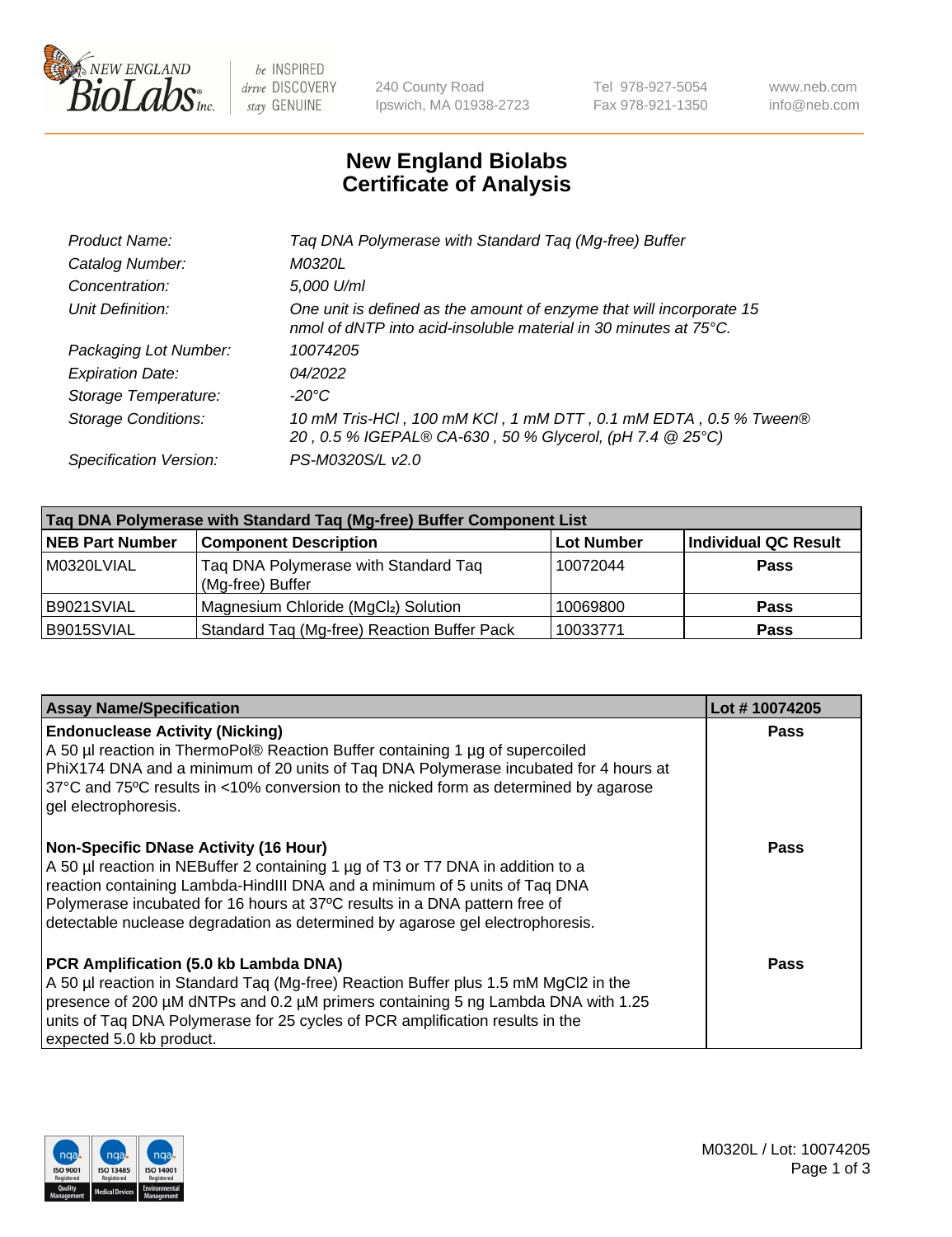

 $be$  INSPIRED drive DISCOVERY stay GENUINE

240 County Road Ipswich, MA 01938-2723 Tel 978-927-5054 Fax 978-921-1350 www.neb.com info@neb.com

## **New England Biolabs Certificate of Analysis**

| Taq DNA Polymerase with Standard Taq (Mg-free) Buffer                                                                                    |
|------------------------------------------------------------------------------------------------------------------------------------------|
| M0320L                                                                                                                                   |
| 5,000 U/ml                                                                                                                               |
| One unit is defined as the amount of enzyme that will incorporate 15<br>nmol of dNTP into acid-insoluble material in 30 minutes at 75°C. |
| 10074205                                                                                                                                 |
| 04/2022                                                                                                                                  |
| $-20^{\circ}$ C                                                                                                                          |
| 10 mM Tris-HCl, 100 mM KCl, 1 mM DTT, 0.1 mM EDTA, 0.5 % Tween®<br>20, 0.5 % IGEPAL® CA-630, 50 % Glycerol, (pH 7.4 @ 25°C)              |
| PS-M0320S/L v2.0                                                                                                                         |
|                                                                                                                                          |

| Taq DNA Polymerase with Standard Taq (Mg-free) Buffer Component List |                                                          |                   |                             |  |
|----------------------------------------------------------------------|----------------------------------------------------------|-------------------|-----------------------------|--|
| <b>NEB Part Number</b>                                               | <b>Component Description</b>                             | <b>Lot Number</b> | <b>Individual QC Result</b> |  |
| M0320LVIAL                                                           | Tag DNA Polymerase with Standard Tag<br>(Mg-free) Buffer | 10072044          | <b>Pass</b>                 |  |
| B9021SVIAL                                                           | Magnesium Chloride (MgCl2) Solution                      | 10069800          | <b>Pass</b>                 |  |
| B9015SVIAL                                                           | Standard Taq (Mg-free) Reaction Buffer Pack              | 10033771          | <b>Pass</b>                 |  |

| <b>Assay Name/Specification</b>                                                                                                                                                                                                                                                                                                                                              | Lot #10074205 |
|------------------------------------------------------------------------------------------------------------------------------------------------------------------------------------------------------------------------------------------------------------------------------------------------------------------------------------------------------------------------------|---------------|
| <b>Endonuclease Activity (Nicking)</b><br>A 50 µl reaction in ThermoPol® Reaction Buffer containing 1 µg of supercoiled<br>PhiX174 DNA and a minimum of 20 units of Taq DNA Polymerase incubated for 4 hours at<br>37°C and 75°C results in <10% conversion to the nicked form as determined by agarose<br>gel electrophoresis.                                              | <b>Pass</b>   |
| <b>Non-Specific DNase Activity (16 Hour)</b><br>A 50 µl reaction in NEBuffer 2 containing 1 µg of T3 or T7 DNA in addition to a<br>reaction containing Lambda-HindIII DNA and a minimum of 5 units of Taq DNA<br>Polymerase incubated for 16 hours at 37°C results in a DNA pattern free of<br>detectable nuclease degradation as determined by agarose gel electrophoresis. | Pass          |
| PCR Amplification (5.0 kb Lambda DNA)<br>A 50 µl reaction in Standard Taq (Mg-free) Reaction Buffer plus 1.5 mM MgCl2 in the<br>presence of 200 μM dNTPs and 0.2 μM primers containing 5 ng Lambda DNA with 1.25<br>units of Tag DNA Polymerase for 25 cycles of PCR amplification results in the<br>expected 5.0 kb product.                                                | Pass          |

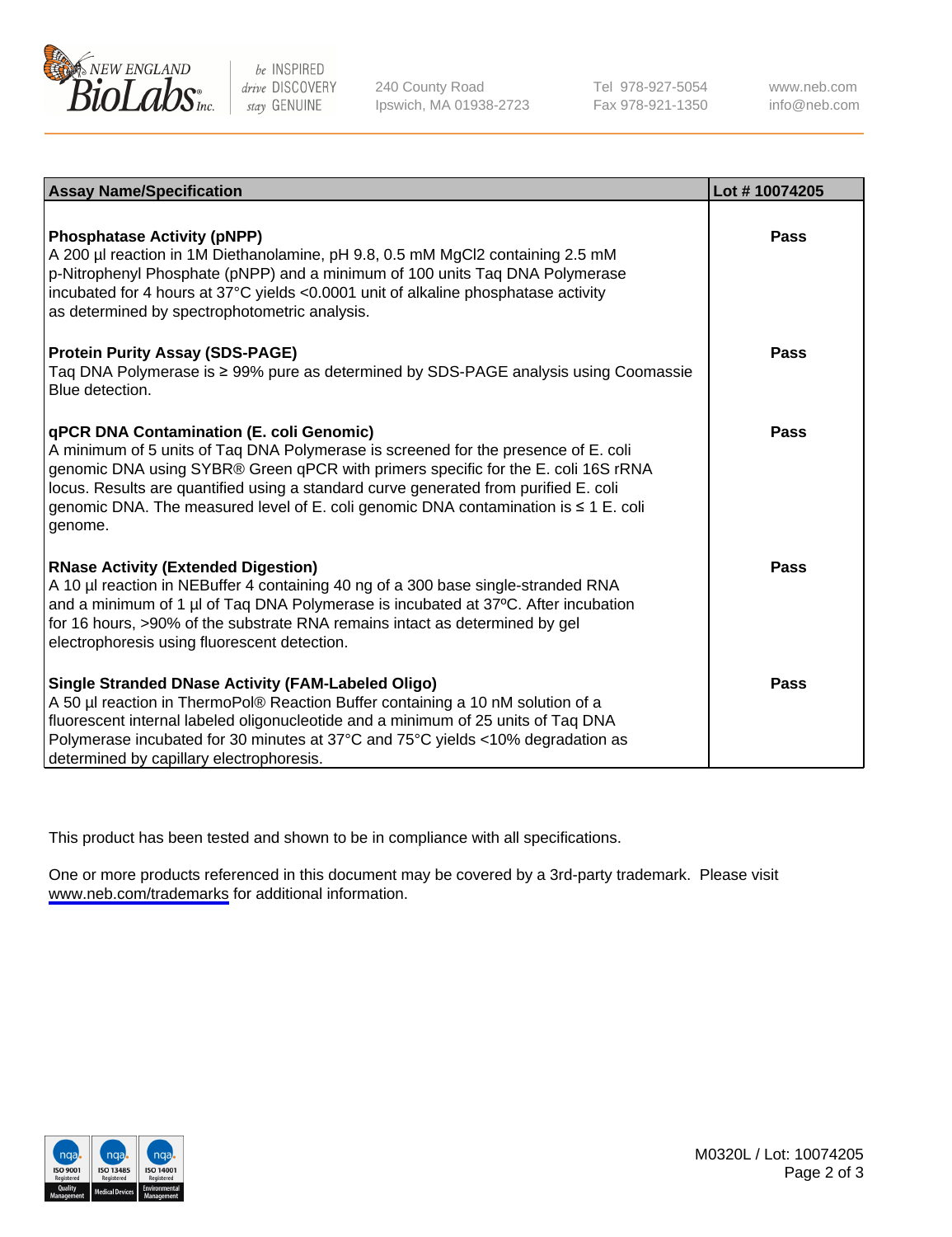

be INSPIRED drive DISCOVERY stay GENUINE

240 County Road Ipswich, MA 01938-2723 Tel 978-927-5054 Fax 978-921-1350

www.neb.com info@neb.com

| <b>Assay Name/Specification</b>                                                                                                                                                                                                                                                                                                                                                                               | Lot #10074205 |
|---------------------------------------------------------------------------------------------------------------------------------------------------------------------------------------------------------------------------------------------------------------------------------------------------------------------------------------------------------------------------------------------------------------|---------------|
| <b>Phosphatase Activity (pNPP)</b><br>A 200 µl reaction in 1M Diethanolamine, pH 9.8, 0.5 mM MgCl2 containing 2.5 mM<br>p-Nitrophenyl Phosphate (pNPP) and a minimum of 100 units Taq DNA Polymerase<br>incubated for 4 hours at 37°C yields <0.0001 unit of alkaline phosphatase activity<br>as determined by spectrophotometric analysis.                                                                   | Pass          |
| <b>Protein Purity Assay (SDS-PAGE)</b><br>Taq DNA Polymerase is ≥ 99% pure as determined by SDS-PAGE analysis using Coomassie<br>Blue detection.                                                                                                                                                                                                                                                              | Pass          |
| qPCR DNA Contamination (E. coli Genomic)<br>A minimum of 5 units of Taq DNA Polymerase is screened for the presence of E. coli<br>genomic DNA using SYBR® Green qPCR with primers specific for the E. coli 16S rRNA<br>locus. Results are quantified using a standard curve generated from purified E. coli<br>genomic DNA. The measured level of E. coli genomic DNA contamination is ≤ 1 E. coli<br>genome. | <b>Pass</b>   |
| <b>RNase Activity (Extended Digestion)</b><br>A 10 µl reaction in NEBuffer 4 containing 40 ng of a 300 base single-stranded RNA<br>and a minimum of 1 µl of Taq DNA Polymerase is incubated at 37°C. After incubation<br>for 16 hours, >90% of the substrate RNA remains intact as determined by gel<br>electrophoresis using fluorescent detection.                                                          | Pass          |
| <b>Single Stranded DNase Activity (FAM-Labeled Oligo)</b><br>A 50 µl reaction in ThermoPol® Reaction Buffer containing a 10 nM solution of a<br>fluorescent internal labeled oligonucleotide and a minimum of 25 units of Taq DNA<br>Polymerase incubated for 30 minutes at 37°C and 75°C yields <10% degradation as<br>determined by capillary electrophoresis.                                              | Pass          |

This product has been tested and shown to be in compliance with all specifications.

One or more products referenced in this document may be covered by a 3rd-party trademark. Please visit <www.neb.com/trademarks>for additional information.